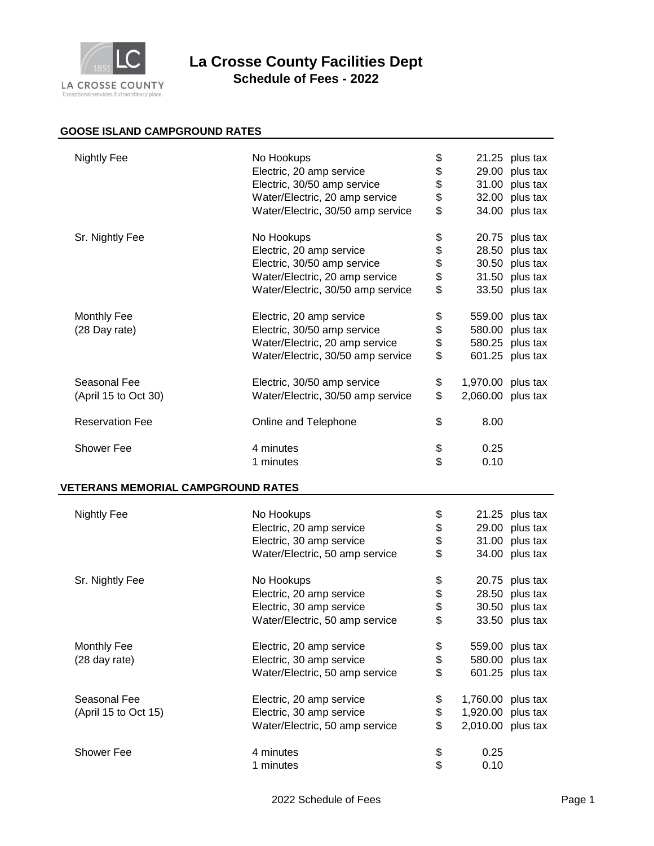

## **La Crosse County Facilities Dept Schedule of Fees - 2022**

## **GOOSE ISLAND CAMPGROUND RATES**

| <b>Nightly Fee</b>                        | No Hookups<br>Electric, 20 amp service<br>Electric, 30/50 amp service<br>Water/Electric, 20 amp service<br>Water/Electric, 30/50 amp service | \$<br>\$<br>\$<br>\$<br>\$ |                                                             | $21.25$ plus tax<br>29.00 plus tax<br>31.00 plus tax<br>32.00 plus tax<br>34.00 plus tax |
|-------------------------------------------|----------------------------------------------------------------------------------------------------------------------------------------------|----------------------------|-------------------------------------------------------------|------------------------------------------------------------------------------------------|
| Sr. Nightly Fee                           | No Hookups<br>Electric, 20 amp service<br>Electric, 30/50 amp service<br>Water/Electric, 20 amp service<br>Water/Electric, 30/50 amp service | \$<br>\$<br>\$<br>\$<br>\$ |                                                             | 20.75 plus tax<br>28.50 plus tax<br>30.50 plus tax<br>31.50 plus tax<br>33.50 plus tax   |
| Monthly Fee<br>(28 Day rate)              | Electric, 20 amp service<br>Electric, 30/50 amp service<br>Water/Electric, 20 amp service<br>Water/Electric, 30/50 amp service               | \$<br>\$<br>\$<br>\$       |                                                             | 559.00 plus tax<br>580.00 plus tax<br>580.25 plus tax<br>601.25 plus tax                 |
| Seasonal Fee<br>(April 15 to Oct 30)      | Electric, 30/50 amp service<br>Water/Electric, 30/50 amp service                                                                             | \$<br>\$                   | 1,970.00 plus tax<br>2,060.00 plus tax                      |                                                                                          |
| <b>Reservation Fee</b>                    | Online and Telephone                                                                                                                         | \$                         | 8.00                                                        |                                                                                          |
| <b>Shower Fee</b>                         | 4 minutes<br>1 minutes                                                                                                                       | \$<br>\$                   | 0.25<br>0.10                                                |                                                                                          |
| <b>VETERANS MEMORIAL CAMPGROUND RATES</b> |                                                                                                                                              |                            |                                                             |                                                                                          |
| <b>Nightly Fee</b>                        | No Hookups<br>Electric, 20 amp service<br>Electric, 30 amp service<br>Water/Electric, 50 amp service                                         | \$<br>\$<br>\$<br>\$       |                                                             | 21.25 plus tax<br>29.00 plus tax<br>31.00 plus tax<br>34.00 plus tax                     |
| Sr. Nightly Fee                           | No Hookups<br>Electric, 20 amp service<br>Electric, 30 amp service<br>Water/Electric, 50 amp service                                         | \$<br>\$<br>\$<br>\$       |                                                             | 20.75 plus tax<br>28.50 plus tax<br>30.50 plus tax<br>33.50 plus tax                     |
| <b>Monthly Fee</b><br>(28 day rate)       | Electric, 20 amp service<br>Electric, 30 amp service<br>Water/Electric, 50 amp service                                                       | \$<br>\$<br>\$             |                                                             | 559.00 plus tax<br>580.00 plus tax<br>601.25 plus tax                                    |
| Seasonal Fee<br>(April 15 to Oct 15)      | Electric, 20 amp service<br>Electric, 30 amp service<br>Water/Electric, 50 amp service                                                       | \$<br>\$<br>\$             | 1,760.00 plus tax<br>1,920.00 plus tax<br>2,010.00 plus tax |                                                                                          |
| <b>Shower Fee</b>                         | 4 minutes<br>1 minutes                                                                                                                       | \$<br>\$                   | 0.25<br>0.10                                                |                                                                                          |